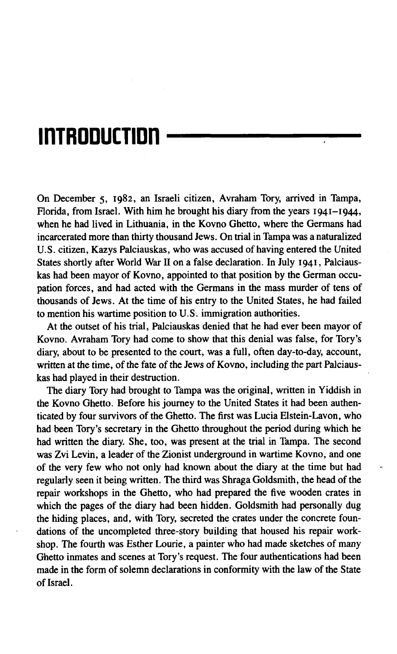# inTROOUCTIOn

On December 5, 1982, an Israeli citizen, Avraham Tory, arrived in Tampa, Florida, from Israel. With him he brought his diary from the years 1941-1944, when he had lived in Lithuania, in the Kovno Ghetto, where the Germans had incarcerated more than thirty thousand Jews. On trial in Tampa was a naturalized U.S. citizen, Kazys Palciauskas, who was accused of having entered the United States shortly after World War II on a false declaration. In July 1941, Palciauskas had been mayor of Kovno, appointed to that position by the German occupation forces, and had acted with the Germans in the mass murder of tens of thousands of Jews. At the time of his entry to the United States, he had failed to mention his wartime position to U.S. immigration authorities.

At the outset of his trial, Palciauskas denied that he had ever been mayor of Kovno. Avraham Tory had come to show that this denial was false, for Tory's diary, about to be presented to the court, was a full, often day-to-day, account, written at the time, of the fate of the Jews of Kovno, including the part Palciauskas had played in their destruction.

The diary Tory had brought to Tampa was the original, written in Yiddish in the Kovno Ghetto. Before his journey to the United States it had been authenticated by four survivors of the Ghetto. The first was Lucia Elstein-Lavon, who had been Tory's secretary in the Ghetto throughout the period during which he had written the diary. She, too, was present at the trial in Tampa. The second was Zvi Levin, a leader of the Zionist underground in wartime Kovno, and one of the very few who not only had known about the diary at the time but had regularly seen it being written. The third was Shraga Goldsmith, the head of the repair workshops in the Ghetto, who had prepared the five wooden crates in which the pages of the diary had been hidden. Goldsmith had personally dug the hiding places, and, with Tory, secreted the crates under the concrete foundations of the uncompleted three-story building that housed his repair workshop. The fourth was Esther Lourie, a painter who had made sketches of many Ghetto inmates and scenes at Tory's request. The four authentications had been made in the form of solemn declarations in conformity with the law of the State of Israel.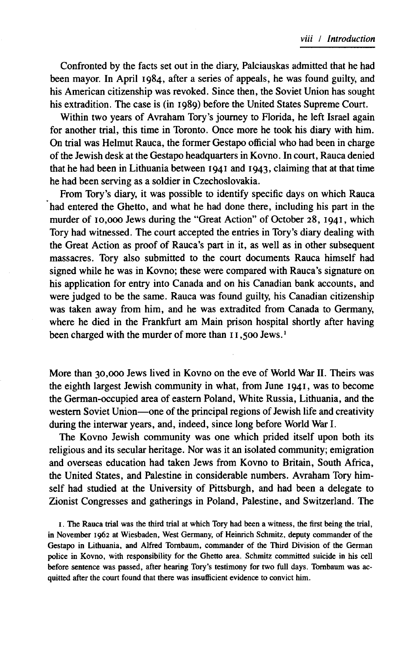Confronted by the facts set out in the diary, Palciauskas admitted that he had been mayor. In April 1984, after a series of appeals, he was found guilty, and his American citizenship was revoked. Since then, the Soviet Union has sought his extradition. The case is (in 1989) before the United States Supreme Court.

Within two years of Avraham Tory's journey to Florida, he left Israel again for another trial, this time in Toronto. Once more he took his diary with him. On trial was Helmut Rauca, the former Gestapo official who had been in charge of the Jewish desk at the Gestapo headquarters in Kovno. In court, Rauca denied that he had been in Lithuania between 1941 and 1943, claiming that at that time he had been serving as a soldier in Czechoslovakia.

From Tory's diary, it was possible to identify specific days on which Rauca had entered the Ghetto, and what he had done there, including his part in the murder of 10,000 Jews during the "Great Action" of October 28, 1941, which Tory had witnessed. The court accepted the entries in Tory's diary dealing with the Great Action as proof of Rauca's part in it, as well as in other subsequent massacres. Tory also submitted to the court documents Rauca himself had signed while he was in Kovno; these were compared with Rauca's signature on his application for entry into Canada and on his Canadian bank accounts, and were judged to be the same. Rauca was found guilty, his Canadian citizenship was taken away from him, and he was extradited from Canada to Germany, where he died in the Frankfurt am Main prison hospital shortly after having been charged with the murder of more than 11,500 Jews.<sup>1</sup>

More than 30,000 Jews lived in Kovno on the eve of World War II. Theirs was the eighth largest Jewish community in what, from June 1941, was to become the German-occupied area of eastern Poland, White Russia, Lithuania, and the western Soviet Union— one of the principal regions of Jewish life and creativity during the interwar years, and, indeed, since long before World War I.

The Kovno Jewish community was one which prided itself upon both its religious and its secular heritage. Nor was it an isolated community; emigration and overseas education had taken Jews from Kovno to Britain, South Africa, the United States, and Palestine in considerable numbers. Avraham Tory himself had studied at the University of Pittsburgh, and had been a delegate to Zionist Congresses and gatherings in Poland, Palestine, and Switzerland. The

1. The Rauca trial was the third trial at which Tory had been a witness, the first being the trial, in November 1962 at Wiesbaden, West Germany, of Heinrich Schmitz, deputy commander of the Gestapo in Lithuania, and Alfred Tombaum, commander of the Third Division of the German police in Kovno, with responsibility for the Ghetto area. Schmitz committed suicide in his cell before sentence was passed, after hearing Tory's testimony for two full days. Tombaum was acquitted after the court found that there was insufficient evidence to convict him.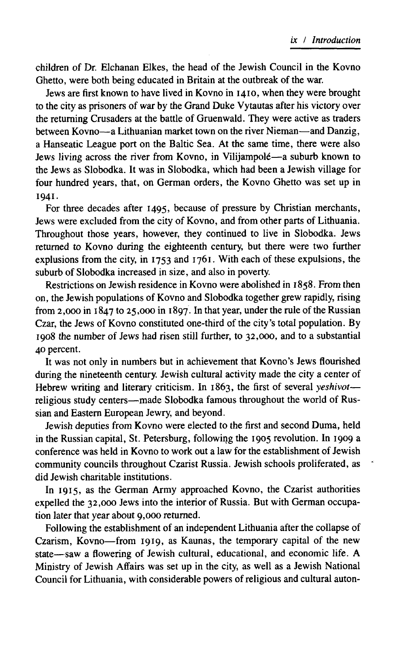children of Dr. Elchanan Elkes, the head of the Jewish Council in the Kovno Ghetto, were both being educated in Britain at the outbreak of the war.

Jews are first known to have lived in Kovno in 1410, when they were brought to the city as prisoners of war by the Grand Duke Vytautas after his victory over the returning Crusaders at the battle of Gruenwald. They were active as traders between Kovno— a Lithuanian market town on the river Nieman— and Danzig, a Hanseatic League port on the Baltic Sea. At the same time, there were also Jews living across the river from Kovno, in Vilijampole— a suburb known to the Jews as Slobodka. It was in Slobodka, which had been a Jewish village for four hundred years, that, on German orders, the Kovno Ghetto was set up in 1941.

For three decades after 1495, because of pressure by Christian merchants, Jews were excluded from the city of Kovno, and from other parts of Lithuania. Throughout those years, however, they continued to live in Slobodka. Jews returned to Kovno during the eighteenth century, but there were two further explusions from the city, in  $1753$  and  $1761$ . With each of these expulsions, the suburb of Slobodka increased in size, and also in poverty.

Restrictions on Jewish residence in Kovno were abolished in 1858. From then on, the Jewish populations of Kovno and Slobodka together grew rapidly, rising from 2,000 in 1847 to 25,000 in 1897. In that year, under the rule of the Russian Czar, the Jews of Kovno constituted one-third of the city's total population. By 1908 the number of Jews had risen still further, to 32,000, and to a substantial 40 percent.

It was not only in numbers but in achievement that Kovno's Jews flourished during the nineteenth century. Jewish cultural activity made the city a center of Hebrew writing and literary criticism. In 1863, the first of several *yeshivot* religious study centers— made Slobodka famous throughout the world of Russian and Eastern European Jewry, and beyond.

Jewish deputies from Kovno were elected to the first and second Duma, held in the Russian capital, St. Petersburg, following the 1905 revolution. In 1909 a conference was held in Kovno to work out a law for the establishment of Jewish community councils throughout Czarist Russia. Jewish schools proliferated, as did Jewish charitable institutions.

In 1915, as the German Army approached Kovno, the Czarist authorities expelled the 32,000 Jews into the interior of Russia. But with German occupation later that year about 9,000 returned.

Following the establishment of an independent Lithuania after the collapse of Czarism, Kovno— from 1919, as Kaunas, the temporary capital of the new state— saw a flowering of Jewish cultural, educational, and economic life. A Ministry of Jewish Affairs was set up in the city, as well as a Jewish National Council for Lithuania, with considerable powers of religious and cultural auton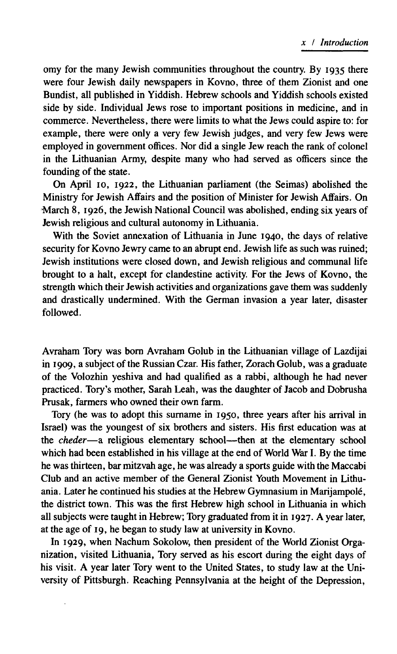omy for the many Jewish communities throughout the country. By 1935 there were four Jewish daily newspapers in Kovno, three of them Zionist and one Bundist, all published in Yiddish. Hebrew schools and Yiddish schools existed side by side. Individual Jews rose to important positions in medicine, and in commerce. Nevertheless, there were limits to what the Jews could aspire to: for example, there were only a very few Jewish judges, and very few Jews were employed in government offices. Nor did a single Jew reach the rank of colonel in the Lithuanian Army, despite many who had served as officers since the founding of the state.

On April 10, 1922, the Lithuanian parliament (the Seimas) abolished the Ministry for Jewish Affairs and the position of Minister for Jewish Affairs. On March 8, 1926, the Jewish National Council was abolished, ending six years of Jewish religious and cultural autonomy in Lithuania.

With the Soviet annexation of Lithuania in June 1940, the days of relative security for Kovno Jewry came to an abrupt end. Jewish life as such was ruined; Jewish institutions were closed down, and Jewish religious and communal life brought to a halt, except for clandestine activity. For the Jews of Kovno, the strength which their Jewish activities and organizations gave them was suddenly and drastically undermined. With the German invasion a year later, disaster followed.

Avraham Tory was bom Avraham Golub in the Lithuanian village of Lazdijai in 1909, a subject of the Russian Czar. His father, Zorach Golub, was a graduate of the Volozhin yeshiva and had qualified as a rabbi, although he had never practiced. Tory's mother, Sarah Leah, was the daughter of Jacob and Dobrusha Prusak, farmers who owned their own farm.

Tory (he was to adopt this surname in 1950, three years after his arrival in Israel) was the youngest of six brothers and sisters. His first education was at the *cheder*— a religious elementary school— then at the elementary school which had been established in his village at the end of World War I. By the time he was thirteen, bar mitzvah age, he was already a sports guide with the Maccabi Club and an active member of the General Zionist Youth Movement in Lithuania. Later he continued his studies at the Hebrew Gymnasium in Marijampole, the district town. This was the first Hebrew high school in Lithuania in which all subjects were taught in Hebrew; Tory graduated from it in 1927. A year later, at the age of 19, he began to study law at university in Kovno.

In 1929, when Nachum Sokolow, then president of the World Zionist Organization, visited Lithuania, Tory served as his escort during the eight days of his visit. A year later Tory went to the United States, to study law at the University of Pittsburgh. Reaching Pennsylvania at the height of the Depression,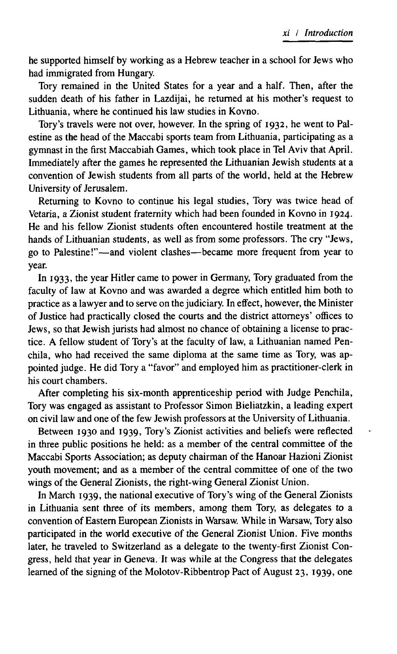he supported himself by working as a Hebrew teacher in a school for Jews who had immigrated from Hungary.

Tory remained in the United States for a year and a half. Then, after the sudden death of his father in Lazdijai, he returned at his mother's request to Lithuania, where he continued his law studies in Kovno.

Tory's travels were not over, however. In the spring of 1932, he went to Palestine as the head of the Maccabi sports team from Lithuania, participating as a gymnast in the first Maccabiah Games, which took place in Tel Aviv that April. Immediately after the games he represented the Lithuanian Jewish students at a convention of Jewish students from all parts of the world, held at the Hebrew University of Jerusalem.

Returning to Kovno to continue his legal studies, Tory was twice head of Vetaria, a Zionist student fraternity which had been founded in Kovno in 1924. He and his fellow Zionist students often encountered hostile treatment at the hands of Lithuanian students, as well as from some professors. The cry "Jews, go to Palestine!" — and violent clashes— became more frequent from year to year.

In 1933, the year Hitler came to power in Germany, Tory graduated from the faculty of law at Kovno and was awarded a degree which entitled him both to practice as a lawyer and to serve on the judiciary. In effect, however, the Minister of Justice had practically closed the courts and the district attorneys' offices to Jews, so that Jewish jurists had almost no chance of obtaining a license to practice. A fellow student of Tory's at the faculty of law, a Lithuanian named Penchila, who had received the same diploma at the same time as Tory, was appointed judge. He did Tory a "favor" and employed him as practitioner-clerk in his court chambers.

After completing his six-month apprenticeship period with Judge Penchila, Tory was engaged as assistant to Professor Simon Bieliatzkin, a leading expert on civil law and one of the few Jewish professors at the University of Lithuania.

Between 1930 and 1939, Tory's Zionist activities and beliefs were reflected in three public positions he held: as a member of the central committee of the Maccabi Sports Association; as deputy chairman of the Hanoar Hazioni Zionist youth movement; and as a member of the central committee of one of the two wings of the General Zionists, the right-wing General Zionist Union.

In March 1939, the national executive of Tory's wing of the General Zionists in Lithuania sent three of its members, among them Tory, as delegates to a convention of Eastern European Zionists in Warsaw. While in Warsaw, Tory also participated in the world executive of the General Zionist Union. Five months later, he traveled to Switzerland as a delegate to the twenty-first Zionist Congress, held that year in Geneva. It was while at the Congress that the delegates learned of the signing of the Molotov-Ribbentrop Pact of August 23, 1939, one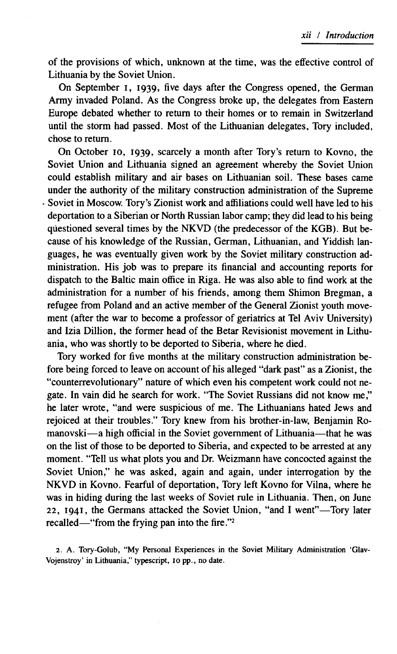of the provisions of which, unknown at the time, was the effective control of Lithuania by the Soviet Union.

On September I, 1939, five days after the Congress opened, the German Army invaded Poland. As the Congress broke up, the delegates from Eastern Europe debated whether to return to their homes or to remain in Switzerland until the storm had passed. Most of the Lithuanian delegates, Tory included, chose to return.

On October 10, 1939, scarcely a month after Tory's return to Kovno, the Soviet Union and Lithuania signed an agreement whereby the Soviet Union could establish military and air bases on Lithuanian soil. These bases came under the authority of the military construction administration of the Supreme Soviet in Moscow. Tory's Zionist work and affiliations could well have led to his deportation to a Siberian or North Russian labor camp; they did lead to his being questioned several times by the NKVD (the predecessor of the KGB). But because of his knowledge of the Russian, German, Lithuanian, and Yiddish languages, he was eventually given work by the Soviet military construction administration. His job was to prepare its financial and accounting reports for dispatch to the Baltic main office in Riga. He was also able to find work at the administration for a number of his friends, among them Shimon Bregman, a refugee from Poland and an active member of the General Zionist youth movement (after the war to become a professor of geriatrics at Tel Aviv University) and Izia Dillion, the former head of the Betar Revisionist movement in Lithuania, who was shortly to be deported to Siberia, where he died.

Tory worked for five months at the military construction administration before being forced to leave on account of his alleged "dark past" as a Zionist, the "counterrevolutionary" nature of which even his competent work could not negate. In vain did he search for work. "The Soviet Russians did not know me," he later wrote, "and were suspicious of me. The Lithuanians hated Jews and rejoiced at their troubles." Tory knew from his brother-in-law, Benjamin Romanovski— a high official in the Soviet government of Lithuania— that he was on the list of those to be deported to Siberia, and expected to be arrested at any moment. "Tell us what plots you and Dr. Weizmann have concocted against the Soviet Union," he was asked, again and again, under interrogation by the NKVD in Kovno. Fearful of deportation, Tory left Kovno for Vilna, where he was in hiding during the last weeks of Soviet rule in Lithuania. Then, on June 22, 1941, the Germans attacked the Soviet Union, "and I went"—Tory later recalled—" from the frying pan into the fire."<sup>2</sup>

2. A. Tory-Golub, "My Personal Experiences in the Soviet Military Administration 'Glav-Vojenstroy' in Lithuania," typescript, 10 pp., no date.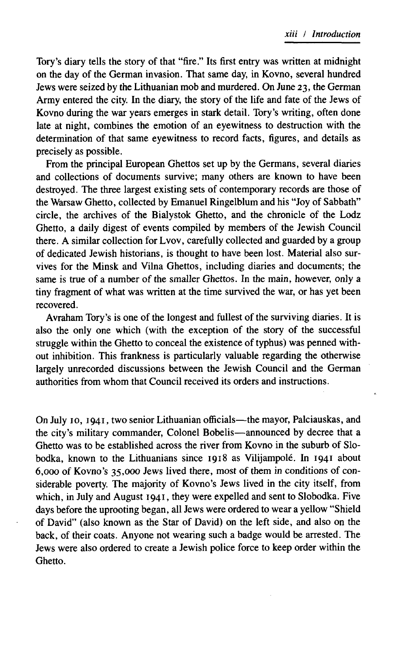Tory's diary tells the story of that "fire." Its first entry was written at midnight on the day of the German invasion. That same day, in Kovno, several hundred Jews were seized by the Lithuanian mob and murdered. On June 23, the German Army entered the city. In the diary, the story of the life and fate of the Jews of Kovno during the war years emerges in stark detail. Tory's writing, often done late at night, combines the emotion of an eyewitness to destruction with the determination of that same eyewitness to record facts, figures, and details as precisely as possible.

From the principal European Ghettos set up by the Germans, several diaries and collections of documents survive; many others are known to have been destroyed. The three largest existing sets of contemporary records are those of the Warsaw Ghetto, collected by Emanuel Ringelblum and his "Joy of Sabbath" circle, the archives of the Bialystok Ghetto, and the chronicle of the Lodz Ghetto, a daily digest of events compiled by members of the Jewish Council there. A similar collection for Lvov, carefully collected and guarded by a group of dedicated Jewish historians, is thought to have been lost. Material also survives for the Minsk and Vilna Ghettos, including diaries and documents; the same is true of a number of the smaller Ghettos. In the main, however, only a tiny fragment of what was written at the time survived the war, or has yet been recovered.

Avraham Tory's is one of the longest and fullest of the surviving diaries. It is also the only one which (with the exception of the story of the successful struggle within the Ghetto to conceal the existence of typhus) was penned without inhibition. This frankness is particularly valuable regarding the otherwise largely unrecorded discussions between the Jewish Council and the German authorities from whom that Council received its orders and instructions.

On July 10, 1941, two senior Lithuanian officials—the mayor, Palciauskas, and the city's military commander, Colonel Bobelis— announced by decree that a Ghetto was to be established across the river from Kovno in the suburb of Slobodka, known to the Lithuanians since 1918 as Vilijampole. In 1941 about 6,000 of Kovno's 35,000 Jews lived there, most of them in conditions of considerable poverty. The majority of Kovno's Jews lived in the city itself, from which, in July and August  $1941$ , they were expelled and sent to Slobodka. Five days before the uprooting began, all Jews were ordered to wear a yellow "Shield of David" (also known as the Star of David) on the left side, and also on the back, of their coats. Anyone not wearing such a badge would be arrested. The Jews were also ordered to create a Jewish police force to keep order within the Ghetto.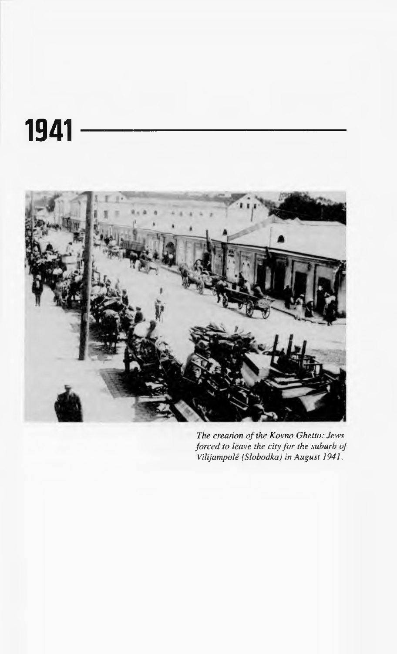# 1941



**The creation of the Kovno Ghetto: Jews** *forced to leave the city for the suburb of Vilijampole (Slobodka) in August 1941.*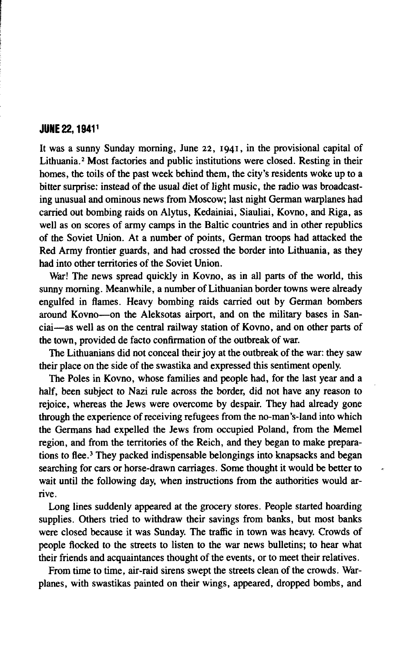#### **JUNE 22, 1941<sup>1</sup>**

It was a sunny Sunday morning, June 22, 1941, in the provisional capital of Lithuania.2 Most factories and public institutions were closed. Resting in their homes, the toils of the past week behind them, the city's residents woke up to a bitter surprise: instead of the usual diet of light music, the radio was broadcasting unusual and ominous news from Moscow; last night German warplanes had carried out bombing raids on Alytus, Kedainiai, Siauliai, Kovno, and Riga, as well as on scores of army camps in the Baltic countries and in other republics of the Soviet Union. At a number of points, German troops had attacked the Red Army frontier guards, and had crossed the border into Lithuania, as they had into other territories of the Soviet Union.

War! The news spread quickly in Kovno, as in all parts of the world, this sunny morning. Meanwhile, a number of Lithuanian border towns were already engulfed in flames. Heavy bombing raids carried out by German bombers around Kovno— on the Aleksotas airport, and on the military bases in Sanciai— as well as on the central railway station of Kovno, and on other parts of the town, provided de facto confirmation of the outbreak of war.

The Lithuanians did not conceal their joy at the outbreak of the war: they saw their place on the side of the swastika and expressed this sentiment openly.

The Poles in Kovno, whose families and people had, for the last year and a half, been subject to Nazi rule across the border, did not have any reason to rejoice, whereas the Jews were overcome by despair. They had already gone through the experience of receiving refugees from the no-man's-land into which the Germans had expelled the Jews from occupied Poland, from the Memel region, and from the territories of the Reich, and they began to make preparations to flee.3 They packed indispensable belongings into knapsacks and began searching for cars or horse-drawn carriages. Some thought it would be better to wait until the following day, when instructions from the authorities would arrive.

Long lines suddenly appeared at the grocery stores. People started hoarding supplies. Others tried to withdraw their savings from banks, but most banks were closed because it was Sunday. The traffic in town was heavy. Crowds of people flocked to the streets to listen to the war news bulletins; to hear what their friends and acquaintances thought of the events, or to meet their relatives.

From time to time, air-raid sirens swept the streets clean of the crowds. Warplanes, with swastikas painted on their wings, appeared, dropped bombs, and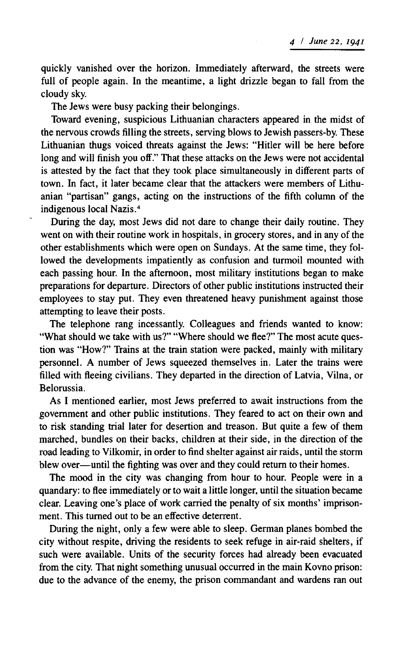quickly vanished over the horizon. Immediately afterward, the streets were full of people again. In the meantime, a light drizzle began to fall from the cloudy sky.

The Jews were busy packing their belongings.

Toward evening, suspicious Lithuanian characters appeared in the midst of the nervous crowds filling the streets, serving blows to Jewish passers-by. These Lithuanian thugs voiced threats against the Jews: " Hitler will be here before long and will finish you off." That these attacks on the Jews were not accidental is attested by the fact that they took place simultaneously in different parts of town. In fact, it later became clear that the attackers were members of Lithuanian "partisan" gangs, acting on the instructions of the fifth column of the indigenous local Nazis.4

During the day, most Jews did not dare to change their daily routine. They went on with their routine work in hospitals, in grocery stores, and in any of the other establishments which were open on Sundays. At the same time, they followed the developments impatiently as confusion and turmoil mounted with each passing hour. In the afternoon, most military institutions began to make preparations for departure. Directors of other public institutions instructed their employees to stay put. They even threatened heavy punishment against those attempting to leave their posts.

The telephone rang incessantly. Colleagues and friends wanted to know: "What should we take with us?" "Where should we flee?" The most acute question was "How?" Trains at the train station were packed, mainly with military personnel. A number of Jews squeezed themselves in. Later the trains were filled with fleeing civilians. They departed in the direction of Latvia, Vilna, or Belorussia.

As I mentioned earlier, most Jews preferred to await instructions from the government and other public institutions. They feared to act on their own and to risk standing trial later for desertion and treason. But quite a few of them marched, bundles on their backs, children at their side, in the direction of the road leading to Vilkomir, in order to find shelter against air raids, until the storm blew over— until the fighting was over and they could return to their homes.

The mood in the city was changing from hour to hour. People were in a quandary: to flee immediately or to wait a little longer, until the situation became clear. Leaving one's place of work carried the penalty of six months' imprisonment. This turned out to be an effective deterrent.

During the night, only a few were able to sleep. German planes bombed the city without respite, driving the residents to seek refuge in air-raid shelters, if such were available. Units of the security forces had already been evacuated from the city. That night something unusual occurred in the main Kovno prison: due to the advance of the enemy, the prison commandant and wardens ran out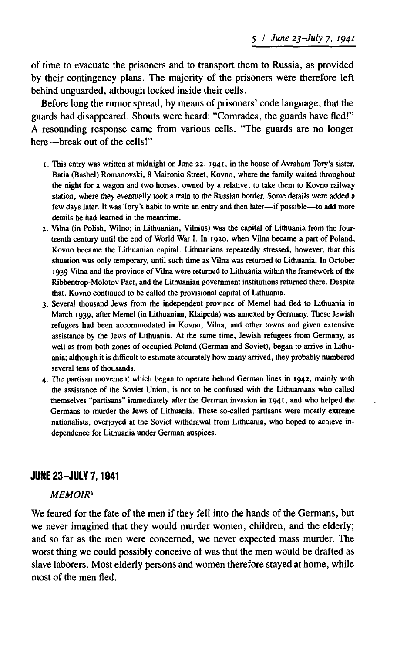of time to evacuate the prisoners and to transport them to Russia, as provided by their contingency plans. The majority of the prisoners were therefore left behind unguarded, although locked inside their cells.

Before long the rumor spread, by means of prisoners' code language, that the guards had disappeared. Shouts were heard: "Comrades, the guards have fled!" A resounding response came from various cells. "The guards are no longer here— break out of the cells!"

- 1. This entry was written at midnight on June 22, 1941, in the house of Avraham Tory's sister, Batia (Bashel) Romanovski, 8 Maironio Street, Kovno, where the family waited throughout the night for a wagon and two horses, owned by a relative, to take them to Kovno railway station, where they eventually took a train to the Russian border. Some details were added a few days later. It was Tory's habit to write an entry and then later— if possible— to add more details he had learned in the meantime.
- *2.* Vilna (in Polish, Wilno; in Lithuanian, Vilnius) was the capital of Lithuania from the fourteenth century until the end of World War I. In 1920, when Vilna became a part of Poland, Kovno became the Lithuanian capital. Lithuanians repeatedly stressed, however, that this situation was only temporary, until such time as Vilna was returned to Lithuania. In October 1939 Vilna and the province of Vilna were returned to Lithuania within the framework of the Ribbentrop-Molotov Pact, and the Lithuanian government institutions returned there. Despite that, Kovno continued to be called the provisional capital of Lithuania.
- 3. Several thousand Jews from the independent province of Memel had fled to Lithuania in March 1939, after Memel (in Lithuanian, Klaipeda) was annexed by Germany. These Jewish refugees had been accommodated in Kovno, Vilna, and other towns and given extensive assistance by the Jews of Lithuania. At the same time, Jewish refugees from Germany, as well as from both zones of occupied Poland (German and Soviet), began to arrive in Lithuania; although it is difficult to estimate accurately how many arrived, they probably numbered several tens of thousands.
- 4. The partisan movement which began to operate behind German lines in 1942, mainly with the assistance of the Soviet Union, is not to be confused with the Lithuanians who called themselves "partisans" immediately after the German invasion in 1941, and who helped the Germans to murder the Jews of Lithuania. These so-called partisans were mostly extreme nationalists, overjoyed at the Soviet withdrawal from Lithuania, who hoped to achieve independence for Lithuania under German auspices.

# JUNE 23-JULY 7,1941

## *MEMOIR*1

We feared for the fate of the men if they fell into the hands of the Germans, but we never imagined that they would murder women, children, and the elderly; and so far as the men were concerned, we never expected mass murder. The worst thing we could possibly conceive of was that the men would be drafted as slave laborers. Most elderly persons and women therefore stayed at home, while most of the men fled.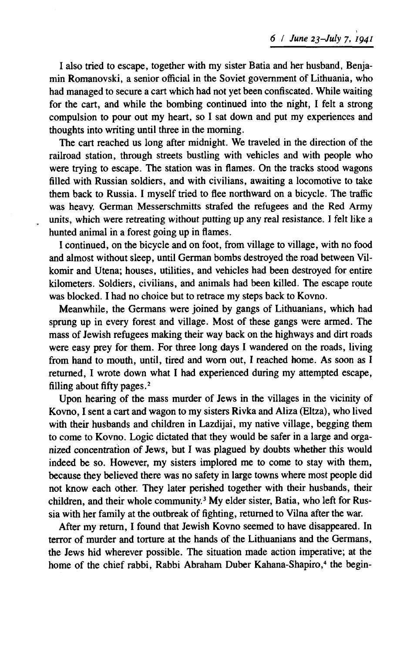I also tried to escape, together with my sister Batia and her husband, Benjamin Romanovski, a senior official in the Soviet government of Lithuania, who had managed to secure a cart which had not yet been confiscated. While waiting for the cart, and while the bombing continued into the night, I felt a strong compulsion to pour out my heart, so I sat down and put my experiences and thoughts into writing until three in the morning.

The cart reached us long after midnight. We traveled in the direction of the railroad station, through streets bustling with vehicles and with people who were trying to escape. The station was in flames. On the tracks stood wagons filled with Russian soldiers, and with civilians, awaiting a locomotive to take them back to Russia. I myself tried to flee northward on a bicycle. The traffic was heavy. German Messerschmitts strafed the refugees and the Red Army units, which were retreating without putting up any real resistance. I felt like a hunted animal in a forest going up in flames.

I continued, on the bicycle and on foot, from village to village, with no food and almost without sleep, until German bombs destroyed the road between Vilkomir and Utena; houses, utilities, and vehicles had been destroyed for entire kilometers. Soldiers, civilians, and animals had been killed. The escape route was blocked. I had no choice but to retrace my steps back to Kovno.

Meanwhile, the Germans were joined by gangs of Lithuanians, which had sprung up in every forest and village. Most of these gangs were armed. The mass of Jewish refugees making their way back on the highways and dirt roads were easy prey for them. For three long days I wandered on the roads, living from hand to mouth, until, tired and worn out, I reached home. As soon as I returned, I wrote down what I had experienced during my attempted escape, filling about fifty pages.2

Upon hearing of the mass murder of Jews in the villages in the vicinity of Kovno, I sent a cart and wagon to my sisters Rivka and Aliza (Eltza), who lived with their husbands and children in Lazdijai, my native village, begging them to come to Kovno. Logic dictated that they would be safer in a large and organized concentration of Jews, but I was plagued by doubts whether this would indeed be so. However, my sisters implored me to come to stay with them, because they believed there was no safety in large towns where most people did not know each other. They later perished together with their husbands, their children, and their whole community.3 My elder sister, Batia, who left for Russia with her family at the outbreak of fighting, returned to Vilna after the war.

After my return, I found that Jewish Kovno seemed to have disappeared. In terror of murder and torture at the hands of the Lithuanians and the Germans, the Jews hid wherever possible. The situation made action imperative; at the home of the chief rabbi, Rabbi Abraham Duber Kahana-Shapiro,<sup>4</sup> the begin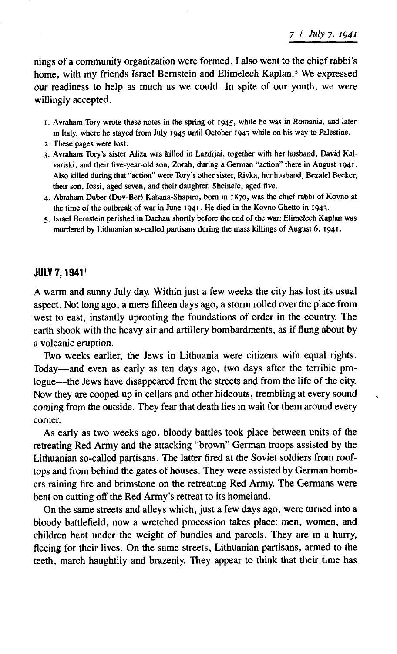nings of a community organization were formed. I also went to the chief rabbi's home, with my friends Israel Bernstein and Elimelech Kaplan.<sup>5</sup> We expressed our readiness to help as much as we could. In spite of our youth, we were willingly accepted.

- 1. Avraham Tory wrote these notes in the spring of 1945, while he was in Romania, and later in Italy, where he stayed from July 1945 until October 1947 while on his way to Palestine.
- 2. These pages were lost.
- 3. Avraham Tory's sister Aliza was killed in Lazdijai, together with her husband, David Kalvariski, and their five-year-old son, Zorah, during a German "action" there in August 1941. Also killed during that " action" were Tory's other sister, Rivka, her husband, Bezalel Becker, their son, Iossi, aged seven, and their daughter, Sheinele, aged five.
- 4. Abraham Duber (Dov-Ber) Kahana-Shapiro, bom in 1870, was the chief rabbi of Kovno at the time of the outbreak of war in June 1941. He died in the Kovno Ghetto in 1943.
- 5. Israel Bernstein perished in Dachau shortly before the end of the war; Elimelech Kaplan was murdered by Lithuanian so-called partisans during the mass killings of August 6, 1941.

### JULY 7,19411

A warm and sunny July day. Within just a few weeks the city has lost its usual aspect. Not long ago, a mere fifteen days ago, a storm rolled over the place from west to east, instantly uprooting the foundations of order in the country. The earth shook with the heavy air and artillery bombardments, as if flung about by a volcanic eruption.

Two weeks earlier, the Jews in Lithuania were citizens with equal rights. Today— and even as early as ten days ago, two days after the terrible prologue— the Jews have disappeared from the streets and from the life of the city. Now they are cooped up in cellars and other hideouts, trembling at every sound coming from the outside. They fear that death lies in wait for them around every comer.

As early as two weeks ago, bloody battles took place between units of the retreating Red Army and the attacking "brown" German troops assisted by the Lithuanian so-called partisans. The latter fired at the Soviet soldiers from rooftops and from behind the gates of houses. They were assisted by German bombers raining fire and brimstone on the retreating Red Army. The Germans were bent on cutting off the Red Army's retreat to its homeland.

On the same streets and alleys which, just a few days ago, were turned into a bloody battlefield, now a wretched procession takes place: men, women, and children bent under the weight of bundles and parcels. They are in a hurry, fleeing for their lives. On the same streets, Lithuanian partisans, armed to the teeth, march haughtily and brazenly. They appear to think that their time has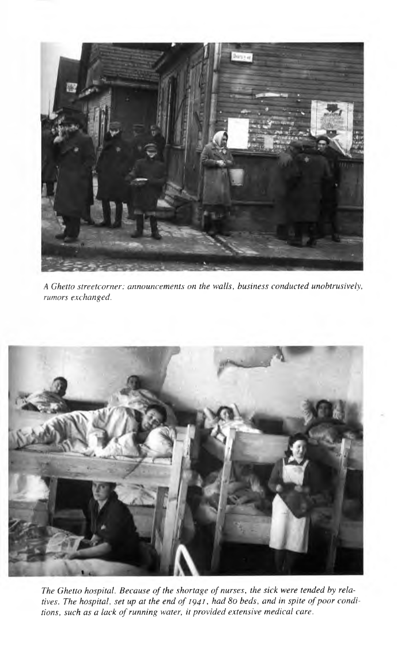

*A Ghetto streetcorner: announcements on the walls, business conducted unobtrusively, rumors exchanged.*



The Ghetto hospital. Because of the shortage of nurses, the sick were tended by relatives. The hospital, set up at the end of 1941, had 80 beds, and in spite of poor conditions, such as a lack of running water, it provided extensive medical care.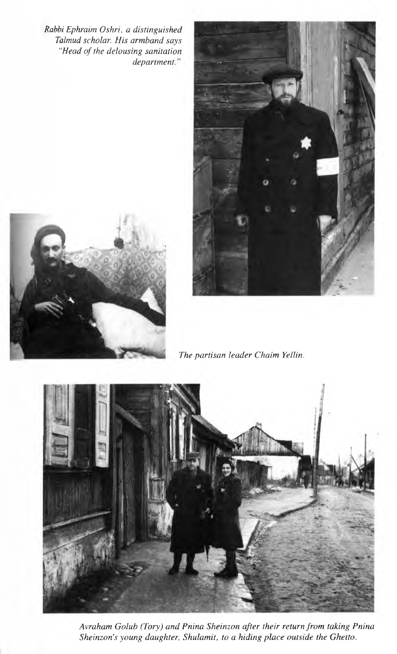*Rabbi Ephraim Oshri, a distinguished Talmud scholar. His armband says "Head of the delousing sanitation department*









*Avraham Golub (Tory) and Pnina Sheinzon after their return from taking Pnina* Sheinzon's young daughter, Shulamit, to a hiding place outside the Ghetto.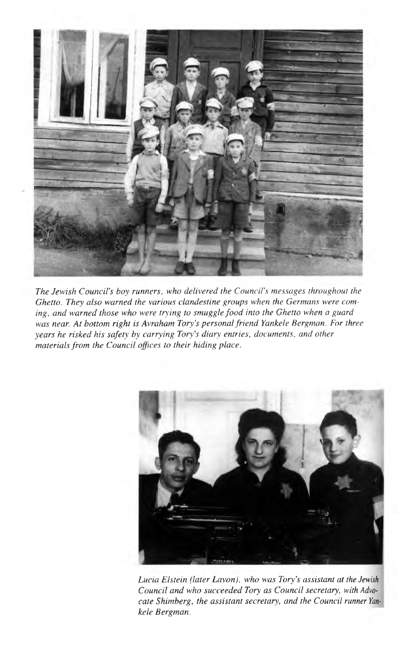

*The Jewish Council's boy runners, who delivered the Council's messages throughout the Ghetto. They also warned the various clandestine groups when the Germans were coming, and warned those who were trying to smuggle food into the Ghetto when a guard was near. At bottom right is Avraham Tory's personal friend Yankele Bergman. For three years he risked his safety by carrying Tory's diary entries, documents, and other materials from the Council offices to their hiding place.*



*Lucia Elstein (later Lavon), who was Tory's assistant at the Jewish Council and who succeeded Tory as Council secretary, with Advocate Shimberg, the assistant secretary, and the Council runner Yankele Bergman.*